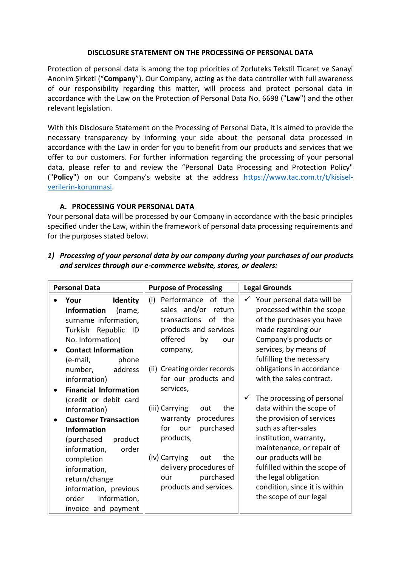#### **DISCLOSURE STATEMENT ON THE PROCESSING OF PERSONAL DATA**

Protection of personal data is among the top priorities of Zorluteks Tekstil Ticaret ve Sanayi Anonim Şirketi ("**Company**"). Our Company, acting as the data controller with full awareness of our responsibility regarding this matter, will process and protect personal data in accordance with the Law on the Protection of Personal Data No. 6698 ("**Law**") and the other relevant legislation.

With this Disclosure Statement on the Processing of Personal Data, it is aimed to provide the necessary transparency by informing your side about the personal data processed in accordance with the Law in order for you to benefit from our products and services that we offer to our customers. For further information regarding the processing of your personal data, please refer to and review the "Personal Data Processing and Protection Policy" ("**Policy"**) on our Company's website at the address https://www.tac.com.tr/t/kisiselverilerin-korunmasi.

#### **A. PROCESSING YOUR PERSONAL DATA**

Your personal data will be processed by our Company in accordance with the basic principles specified under the Law, within the framework of personal data processing requirements and for the purposes stated below.

| <b>Personal Data</b><br><b>Purpose of Processing</b>                                                                                                                                                                                                                                                                                                                                                                                                                                                                                                                                                                                                                                                                                                                                                                                                                                                                                                      | <b>Legal Grounds</b>                                                                                                                                                                                                                                                                                                                                                                                                                                                                                                                                                                             |
|-----------------------------------------------------------------------------------------------------------------------------------------------------------------------------------------------------------------------------------------------------------------------------------------------------------------------------------------------------------------------------------------------------------------------------------------------------------------------------------------------------------------------------------------------------------------------------------------------------------------------------------------------------------------------------------------------------------------------------------------------------------------------------------------------------------------------------------------------------------------------------------------------------------------------------------------------------------|--------------------------------------------------------------------------------------------------------------------------------------------------------------------------------------------------------------------------------------------------------------------------------------------------------------------------------------------------------------------------------------------------------------------------------------------------------------------------------------------------------------------------------------------------------------------------------------------------|
| (i)<br>Performance of the<br><b>Identity</b><br>Your<br>sales and/or return<br><b>Information</b><br>(name,<br>transactions<br>of<br>the<br>surname information,<br>products and services<br>Turkish Republic<br>ID<br>offered<br>No. Information)<br>by<br>our<br><b>Contact Information</b><br>company,<br>(e-mail,<br>phone<br>(ii) Creating order records<br>number,<br>address<br>for our products and<br>information)<br>services,<br><b>Financial Information</b><br>(credit or debit card<br>(iii) Carrying<br>the<br>out<br>information)<br>procedures<br>warranty<br><b>Customer Transaction</b><br>purchased<br>for<br>our<br><b>Information</b><br>products,<br>(purchased<br>product<br>information,<br>order<br>(iv) Carrying<br>the<br>out<br>completion<br>delivery procedures of<br>information,<br>purchased<br>our<br>return/change<br>products and services.<br>information, previous<br>information,<br>order<br>invoice and payment | $\checkmark$ Your personal data will be<br>processed within the scope<br>of the purchases you have<br>made regarding our<br>Company's products or<br>services, by means of<br>fulfilling the necessary<br>obligations in accordance<br>with the sales contract.<br>The processing of personal<br>$\checkmark$<br>data within the scope of<br>the provision of services<br>such as after-sales<br>institution, warranty,<br>maintenance, or repair of<br>our products will be<br>fulfilled within the scope of<br>the legal obligation<br>condition, since it is within<br>the scope of our legal |

# *1) Processing of your personal data by our company during your purchases of our products and services through our e-commerce website, stores, or dealers:*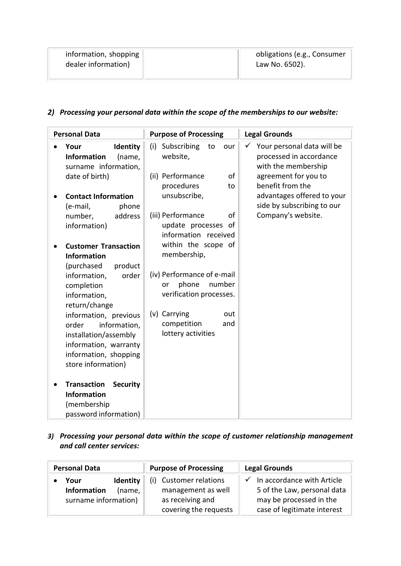| information, shopping | obligations (e.g., Consumer |
|-----------------------|-----------------------------|
| dealer information)   | Law No. 6502).              |
|                       |                             |

## *2) Processing your personal data within the scope of the memberships to our website:*

| <b>Personal Data</b>                                                                                                                            | <b>Purpose of Processing</b>                                                   | <b>Legal Grounds</b>                                                              |
|-------------------------------------------------------------------------------------------------------------------------------------------------|--------------------------------------------------------------------------------|-----------------------------------------------------------------------------------|
| Identity<br>Your<br><b>Information</b><br>(name,<br>surname information,                                                                        | Subscribing<br>(i)<br>to<br>our<br>website,                                    | Your personal data will be<br>✓<br>processed in accordance<br>with the membership |
| date of birth)                                                                                                                                  | (ii) Performance<br>οf<br>procedures<br>to                                     | agreement for you to<br>benefit from the                                          |
| <b>Contact Information</b><br>phone                                                                                                             | unsubscribe,                                                                   | advantages offered to your<br>side by subscribing to our                          |
| (e-mail,<br>address<br>number,<br>information)                                                                                                  | (iii) Performance<br>οf<br>update processes<br>0f<br>information received      | Company's website.                                                                |
| <b>Customer Transaction</b><br><b>Information</b><br>(purchased<br>product                                                                      | within the scope of<br>membership,                                             |                                                                                   |
| information,<br>order<br>completion<br>information,<br>return/change                                                                            | (iv) Performance of e-mail<br>number<br>phone<br>or<br>verification processes. |                                                                                   |
| information, previous<br>order<br>information,<br>installation/assembly<br>information, warranty<br>information, shopping<br>store information) | (v) Carrying<br>out<br>competition<br>and<br>lottery activities                |                                                                                   |
| <b>Transaction</b><br><b>Security</b><br><b>Information</b><br>(membership<br>password information)                                             |                                                                                |                                                                                   |

*3) Processing your personal data within the scope of customer relationship management and call center services:* 

| <b>Personal Data</b>                                                     | <b>Purpose of Processing</b>                                                                 | <b>Legal Grounds</b>                                                                                                             |
|--------------------------------------------------------------------------|----------------------------------------------------------------------------------------------|----------------------------------------------------------------------------------------------------------------------------------|
| Identity<br>Your<br><b>Information</b><br>(name,<br>surname information) | <b>Customer relations</b><br>management as well<br>as receiving and<br>covering the requests | $\checkmark$ In accordance with Article<br>5 of the Law, personal data<br>may be processed in the<br>case of legitimate interest |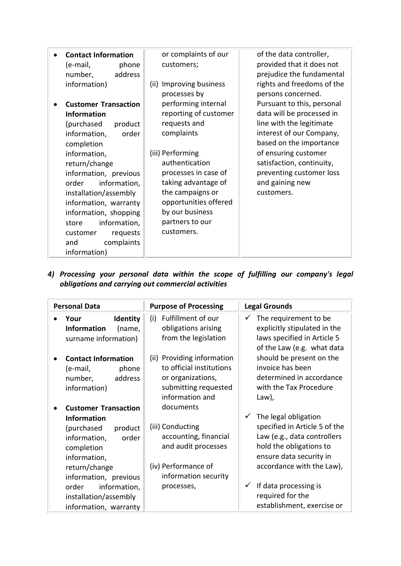| <b>Contact Information</b><br>(e-mail,<br>phone<br>address<br>number,<br>information)                                                                                                                                                                                                                                                                                 | or complaints of our<br>customers;<br>(ii) Improving business                                                                                                                                                                                                                    | of the data controller,<br>provided that it does not<br>prejudice the fundamental<br>rights and freedoms of the                                                                                                                                                                    |
|-----------------------------------------------------------------------------------------------------------------------------------------------------------------------------------------------------------------------------------------------------------------------------------------------------------------------------------------------------------------------|----------------------------------------------------------------------------------------------------------------------------------------------------------------------------------------------------------------------------------------------------------------------------------|------------------------------------------------------------------------------------------------------------------------------------------------------------------------------------------------------------------------------------------------------------------------------------|
| <b>Customer Transaction</b><br><b>Information</b><br>(purchased<br>product<br>information,<br>order<br>completion<br>information,<br>return/change<br>information, previous<br>information,<br>order<br>installation/assembly<br>information, warranty<br>information, shopping<br>information,<br>store<br>requests<br>customer<br>complaints<br>and<br>information) | processes by<br>performing internal<br>reporting of customer<br>requests and<br>complaints<br>(iii) Performing<br>authentication<br>processes in case of<br>taking advantage of<br>the campaigns or<br>opportunities offered<br>by our business<br>partners to our<br>customers. | persons concerned.<br>Pursuant to this, personal<br>data will be processed in<br>line with the legitimate<br>interest of our Company,<br>based on the importance<br>of ensuring customer<br>satisfaction, continuity,<br>preventing customer loss<br>and gaining new<br>customers. |

*4) Processing your personal data within the scope of fulfilling our company's legal obligations and carrying out commercial activities* 

| <b>Personal Data</b>                                                                                                                                                        | <b>Purpose of Processing</b>                                                                                                 | <b>Legal Grounds</b>                                                                                                                                                    |
|-----------------------------------------------------------------------------------------------------------------------------------------------------------------------------|------------------------------------------------------------------------------------------------------------------------------|-------------------------------------------------------------------------------------------------------------------------------------------------------------------------|
| Identity<br>Your<br><b>Information</b><br>(name,<br>surname information)                                                                                                    | Fulfillment of our<br>(i)<br>obligations arising<br>from the legislation                                                     | The requirement to be<br>✓<br>explicitly stipulated in the<br>laws specified in Article 5<br>of the Law (e.g. what data                                                 |
| <b>Contact Information</b><br>phone<br>(e-mail,<br>address<br>number,<br>information)                                                                                       | (ii) Providing information<br>to official institutions<br>or organizations,<br>submitting requested<br>information and       | should be present on the<br>invoice has been<br>determined in accordance<br>with the Tax Procedure<br>$Law$ ,                                                           |
| <b>Customer Transaction</b><br><b>Information</b><br>(purchased<br>product<br>information,<br>order<br>completion<br>information,<br>return/change<br>information, previous | documents<br>(iii) Conducting<br>accounting, financial<br>and audit processes<br>(iv) Performance of<br>information security | The legal obligation<br>specified in Article 5 of the<br>Law (e.g., data controllers<br>hold the obligations to<br>ensure data security in<br>accordance with the Law), |
| order<br>information,<br>installation/assembly<br>information, warranty                                                                                                     | processes,                                                                                                                   | If data processing is<br>$\checkmark$<br>required for the<br>establishment, exercise or                                                                                 |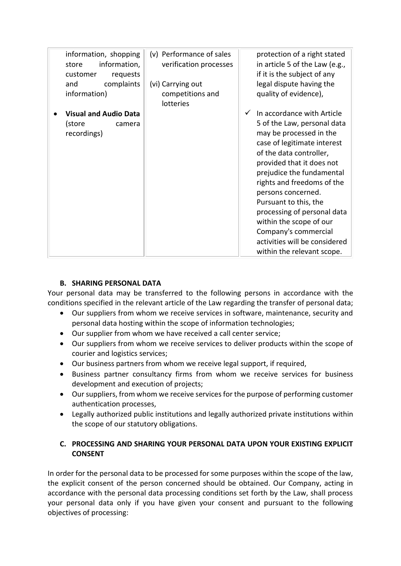| information, shopping<br>information,<br>store<br>requests<br>customer<br>complaints<br>and<br>information) | (v) Performance of sales<br>verification processes<br>(vi) Carrying out<br>competitions and<br>lotteries | protection of a right stated<br>in article 5 of the Law (e.g.,<br>if it is the subject of any<br>legal dispute having the<br>quality of evidence),                                                                                                                                                                                                                                                                                     |
|-------------------------------------------------------------------------------------------------------------|----------------------------------------------------------------------------------------------------------|----------------------------------------------------------------------------------------------------------------------------------------------------------------------------------------------------------------------------------------------------------------------------------------------------------------------------------------------------------------------------------------------------------------------------------------|
| <b>Visual and Audio Data</b><br>(store<br>camera<br>recordings)                                             |                                                                                                          | In accordance with Article<br>5 of the Law, personal data<br>may be processed in the<br>case of legitimate interest<br>of the data controller,<br>provided that it does not<br>prejudice the fundamental<br>rights and freedoms of the<br>persons concerned.<br>Pursuant to this, the<br>processing of personal data<br>within the scope of our<br>Company's commercial<br>activities will be considered<br>within the relevant scope. |

#### **B. SHARING PERSONAL DATA**

Your personal data may be transferred to the following persons in accordance with the conditions specified in the relevant article of the Law regarding the transfer of personal data;

- Our suppliers from whom we receive services in software, maintenance, security and personal data hosting within the scope of information technologies;
- Our supplier from whom we have received a call center service;
- Our suppliers from whom we receive services to deliver products within the scope of courier and logistics services;
- Our business partners from whom we receive legal support, if required,
- Business partner consultancy firms from whom we receive services for business development and execution of projects;
- Our suppliers, from whom we receive services for the purpose of performing customer authentication processes,
- Legally authorized public institutions and legally authorized private institutions within the scope of our statutory obligations.

### **C. PROCESSING AND SHARING YOUR PERSONAL DATA UPON YOUR EXISTING EXPLICIT CONSENT**

In order for the personal data to be processed for some purposes within the scope of the law, the explicit consent of the person concerned should be obtained. Our Company, acting in accordance with the personal data processing conditions set forth by the Law, shall process your personal data only if you have given your consent and pursuant to the following objectives of processing: